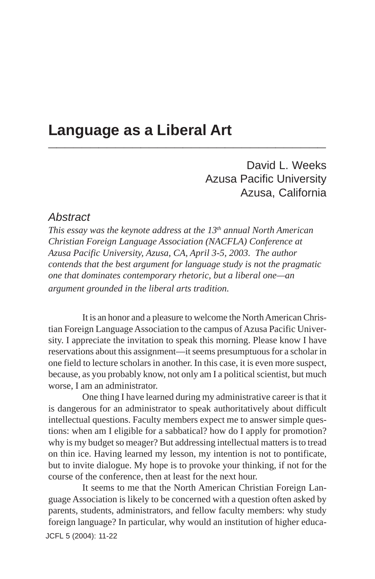### **Language as a Liberal Art \_\_\_\_\_\_\_\_\_\_\_\_\_\_\_\_\_\_\_\_\_\_\_\_\_\_\_\_\_\_\_\_\_**

David L. Weeks Azusa Pacific University Azusa, California

### *Abstract*

*This essay was the keynote address at the 13<sup>th</sup> annual North American Christian Foreign Language Association (NACFLA) Conference at Azusa Pacific University, Azusa, CA, April 3-5, 2003. The author contends that the best argument for language study is not the pragmatic one that dominates contemporary rhetoric, but a liberal one—an argument grounded in the liberal arts tradition.*

It is an honor and a pleasure to welcome the North American Christian Foreign Language Association to the campus of Azusa Pacific University. I appreciate the invitation to speak this morning. Please know I have reservations about this assignment—it seems presumptuous for a scholar in one field to lecture scholars in another. In this case, it is even more suspect, because, as you probably know, not only am I a political scientist, but much worse, I am an administrator.

One thing I have learned during my administrative career is that it is dangerous for an administrator to speak authoritatively about difficult intellectual questions. Faculty members expect me to answer simple questions: when am I eligible for a sabbatical? how do I apply for promotion? why is my budget so meager? But addressing intellectual matters is to tread on thin ice. Having learned my lesson, my intention is not to pontificate, but to invite dialogue. My hope is to provoke your thinking, if not for the course of the conference, then at least for the next hour.

JCFL 5 (2004): 11-22It seems to me that the North American Christian Foreign Language Association is likely to be concerned with a question often asked by parents, students, administrators, and fellow faculty members: why study foreign language? In particular, why would an institution of higher educa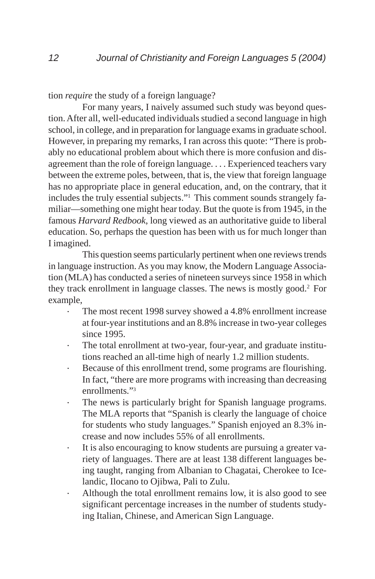tion *require* the study of a foreign language?

For many years, I naively assumed such study was beyond question. After all, well-educated individuals studied a second language in high school, in college, and in preparation for language exams in graduate school. However, in preparing my remarks, I ran across this quote: "There is probably no educational problem about which there is more confusion and disagreement than the role of foreign language. . . . Experienced teachers vary between the extreme poles, between, that is, the view that foreign language has no appropriate place in general education, and, on the contrary, that it includes the truly essential subjects."1 This comment sounds strangely familiar—something one might hear today. But the quote is from 1945, in the famous *Harvard Redbook*, long viewed as an authoritative guide to liberal education. So, perhaps the question has been with us for much longer than I imagined.

This question seems particularly pertinent when one reviews trends in language instruction. As you may know, the Modern Language Association (MLA) has conducted a series of nineteen surveys since 1958 in which they track enrollment in language classes. The news is mostly good.2 For example,

- The most recent 1998 survey showed a 4.8% enrollment increase at four-year institutions and an 8.8% increase in two-year colleges since 1995.
- The total enrollment at two-year, four-year, and graduate institutions reached an all-time high of nearly 1.2 million students.
- · Because of this enrollment trend, some programs are flourishing. In fact, "there are more programs with increasing than decreasing enrollments."3
- The news is particularly bright for Spanish language programs. The MLA reports that "Spanish is clearly the language of choice for students who study languages." Spanish enjoyed an 8.3% increase and now includes 55% of all enrollments.
- · It is also encouraging to know students are pursuing a greater variety of languages. There are at least 138 different languages being taught, ranging from Albanian to Chagatai, Cherokee to Icelandic, Ilocano to Ojibwa, Pali to Zulu.
- Although the total enrollment remains low, it is also good to see significant percentage increases in the number of students studying Italian, Chinese, and American Sign Language.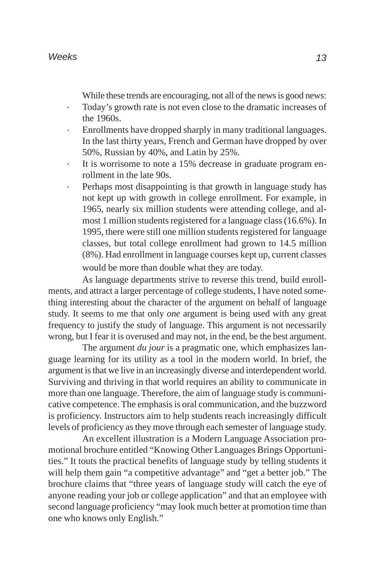While these trends are encouraging, not all of the news is good news:

- · Today's growth rate is not even close to the dramatic increases of the 1960s.
- · Enrollments have dropped sharply in many traditional languages. In the last thirty years, French and German have dropped by over 50%, Russian by 40%, and Latin by 25%.
- It is worrisome to note a 15% decrease in graduate program enrollment in the late 90s.
- Perhaps most disappointing is that growth in language study has not kept up with growth in college enrollment. For example, in 1965, nearly six million students were attending college, and almost 1 million students registered for a language class (16.6%). In 1995, there were still one million students registered for language classes, but total college enrollment had grown to 14.5 million (8%). Had enrollment in language courses kept up, current classes would be more than double what they are today.

As language departments strive to reverse this trend, build enrollments, and attract a larger percentage of college students, I have noted something interesting about the character of the argument on behalf of language study. It seems to me that only *one* argument is being used with any great frequency to justify the study of language. This argument is not necessarily wrong, but I fear it is overused and may not, in the end, be the best argument.

The argument *du jour* is a pragmatic one, which emphasizes language learning for its utility as a tool in the modern world. In brief, the argument is that we live in an increasingly diverse and interdependent world. Surviving and thriving in that world requires an ability to communicate in more than one language. Therefore, the aim of language study is communicative competence. The emphasis is oral communication, and the buzzword is proficiency. Instructors aim to help students reach increasingly difficult levels of proficiency as they move through each semester of language study.

An excellent illustration is a Modern Language Association promotional brochure entitled "Knowing Other Languages Brings Opportunities." It touts the practical benefits of language study by telling students it will help them gain "a competitive advantage" and "get a better job." The brochure claims that "three years of language study will catch the eye of anyone reading your job or college application" and that an employee with second language proficiency "may look much better at promotion time than one who knows only English."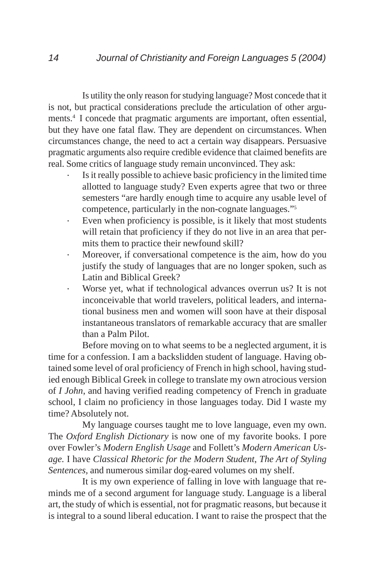Is utility the only reason for studying language? Most concede that it is not, but practical considerations preclude the articulation of other arguments.4 I concede that pragmatic arguments are important, often essential, but they have one fatal flaw. They are dependent on circumstances. When circumstances change, the need to act a certain way disappears. Persuasive pragmatic arguments also require credible evidence that claimed benefits are real. Some critics of language study remain unconvinced. They ask:

- Is it really possible to achieve basic proficiency in the limited time allotted to language study? Even experts agree that two or three semesters "are hardly enough time to acquire any usable level of competence, particularly in the non-cognate languages."5
- · Even when proficiency is possible, is it likely that most students will retain that proficiency if they do not live in an area that permits them to practice their newfound skill?
- Moreover, if conversational competence is the aim, how do you justify the study of languages that are no longer spoken, such as Latin and Biblical Greek?
- · Worse yet, what if technological advances overrun us? It is not inconceivable that world travelers, political leaders, and international business men and women will soon have at their disposal instantaneous translators of remarkable accuracy that are smaller than a Palm Pilot.

Before moving on to what seems to be a neglected argument, it is time for a confession. I am a backslidden student of language. Having obtained some level of oral proficiency of French in high school, having studied enough Biblical Greek in college to translate my own atrocious version of *I John*, and having verified reading competency of French in graduate school, I claim no proficiency in those languages today. Did I waste my time? Absolutely not.

My language courses taught me to love language, even my own. The *Oxford English Dictionary* is now one of my favorite books. I pore over Fowler's *Modern English Usage* and Follett's *Modern American Usage.* I have *Classical Rhetoric for the Modern Student*, *The Art of Styling Sentences,* and numerous similar dog-eared volumes on my shelf.

It is my own experience of falling in love with language that reminds me of a second argument for language study. Language is a liberal art, the study of which is essential, not for pragmatic reasons, but because it is integral to a sound liberal education. I want to raise the prospect that the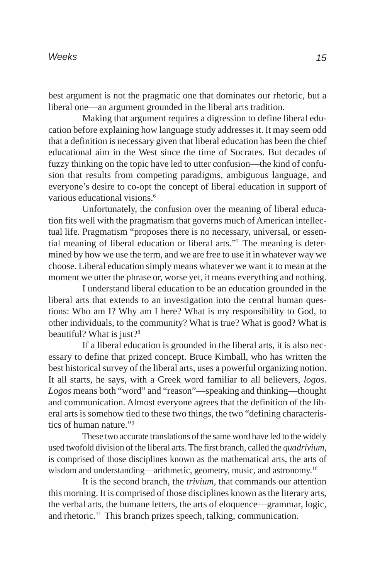best argument is not the pragmatic one that dominates our rhetoric, but a liberal one—an argument grounded in the liberal arts tradition.

Making that argument requires a digression to define liberal education before explaining how language study addresses it. It may seem odd that a definition is necessary given that liberal education has been the chief educational aim in the West since the time of Socrates. But decades of fuzzy thinking on the topic have led to utter confusion—the kind of confusion that results from competing paradigms, ambiguous language, and everyone's desire to co-opt the concept of liberal education in support of various educational visions.6

Unfortunately, the confusion over the meaning of liberal education fits well with the pragmatism that governs much of American intellectual life. Pragmatism "proposes there is no necessary, universal, or essential meaning of liberal education or liberal arts."7 The meaning is determined by how we use the term, and we are free to use it in whatever way we choose. Liberal education simply means whatever we want it to mean at the moment we utter the phrase or, worse yet, it means everything and nothing.

I understand liberal education to be an education grounded in the liberal arts that extends to an investigation into the central human questions: Who am I? Why am I here? What is my responsibility to God, to other individuals, to the community? What is true? What is good? What is beautiful? What is just?<sup>8</sup>

If a liberal education is grounded in the liberal arts, it is also necessary to define that prized concept. Bruce Kimball, who has written the best historical survey of the liberal arts, uses a powerful organizing notion. It all starts, he says, with a Greek word familiar to all believers, *logos*. *Logos* means both "word" and "reason"—speaking and thinking—thought and communication. Almost everyone agrees that the definition of the liberal arts is somehow tied to these two things, the two "defining characteristics of human nature."9

These two accurate translations of the same word have led to the widely used twofold division of the liberal arts. The first branch, called the *quadrivium*, is comprised of those disciplines known as the mathematical arts, the arts of wisdom and understanding—arithmetic, geometry, music, and astronomy.<sup>10</sup>

It is the second branch, the *trivium,* that commands our attention this morning. It is comprised of those disciplines known as the literary arts, the verbal arts, the humane letters, the arts of eloquence—grammar, logic, and rhetoric.<sup>11</sup> This branch prizes speech, talking, communication.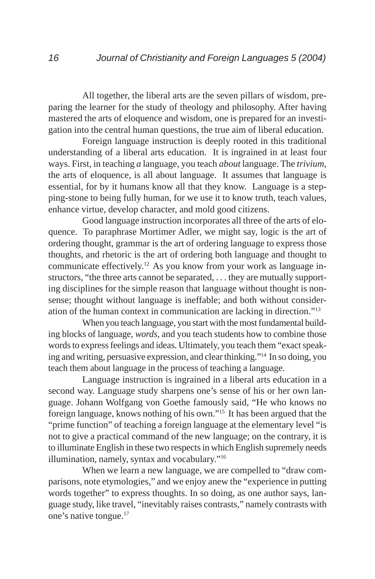All together, the liberal arts are the seven pillars of wisdom, preparing the learner for the study of theology and philosophy. After having mastered the arts of eloquence and wisdom, one is prepared for an investigation into the central human questions, the true aim of liberal education.

Foreign language instruction is deeply rooted in this traditional understanding of a liberal arts education. It is ingrained in at least four ways. First, in teaching *a* language, you teach *about* language. The *trivium*, the arts of eloquence, is all about language. It assumes that language is essential, for by it humans know all that they know. Language is a stepping-stone to being fully human, for we use it to know truth, teach values, enhance virtue, develop character, and mold good citizens.

Good language instruction incorporates all three of the arts of eloquence. To paraphrase Mortimer Adler, we might say, logic is the art of ordering thought, grammar is the art of ordering language to express those thoughts, and rhetoric is the art of ordering both language and thought to communicate effectively.12 As you know from your work as language instructors, "the three arts cannot be separated, . . . they are mutually supporting disciplines for the simple reason that language without thought is nonsense; thought without language is ineffable; and both without consideration of the human context in communication are lacking in direction."13

When you teach language, you start with the most fundamental building blocks of language, *words*, and you teach students how to combine those words to express feelings and ideas. Ultimately, you teach them "exact speaking and writing, persuasive expression, and clear thinking."14 In so doing, you teach them about language in the process of teaching a language.

Language instruction is ingrained in a liberal arts education in a second way. Language study sharpens one's sense of his or her own language. Johann Wolfgang von Goethe famously said, "He who knows no foreign language, knows nothing of his own."15 It has been argued that the "prime function" of teaching a foreign language at the elementary level "is not to give a practical command of the new language; on the contrary, it is to illuminate English in these two respects in which English supremely needs illumination, namely, syntax and vocabulary."16

When we learn a new language, we are compelled to "draw comparisons, note etymologies," and we enjoy anew the "experience in putting words together" to express thoughts. In so doing, as one author says, language study, like travel, "inevitably raises contrasts," namely contrasts with one's native tongue.17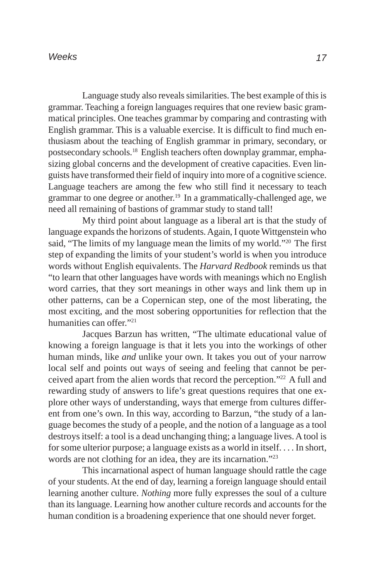Language study also reveals similarities. The best example of this is grammar. Teaching a foreign languages requires that one review basic grammatical principles. One teaches grammar by comparing and contrasting with English grammar. This is a valuable exercise. It is difficult to find much enthusiasm about the teaching of English grammar in primary, secondary, or postsecondary schools.18 English teachers often downplay grammar, emphasizing global concerns and the development of creative capacities. Even linguists have transformed their field of inquiry into more of a cognitive science. Language teachers are among the few who still find it necessary to teach grammar to one degree or another.<sup>19</sup> In a grammatically-challenged age, we need all remaining of bastions of grammar study to stand tall!

My third point about language as a liberal art is that the study of language expands the horizons of students. Again, I quote Wittgenstein who said, "The limits of my language mean the limits of my world."20 The first step of expanding the limits of your student's world is when you introduce words without English equivalents. The *Harvard Redbook* reminds us that "to learn that other languages have words with meanings which no English word carries, that they sort meanings in other ways and link them up in other patterns, can be a Copernican step, one of the most liberating, the most exciting, and the most sobering opportunities for reflection that the humanities can offer."21

Jacques Barzun has written, "The ultimate educational value of knowing a foreign language is that it lets you into the workings of other human minds, like *and* unlike your own. It takes you out of your narrow local self and points out ways of seeing and feeling that cannot be perceived apart from the alien words that record the perception."22 A full and rewarding study of answers to life's great questions requires that one explore other ways of understanding, ways that emerge from cultures different from one's own. In this way, according to Barzun, "the study of a language becomes the study of a people, and the notion of a language as a tool destroys itself: a tool is a dead unchanging thing; a language lives. A tool is for some ulterior purpose; a language exists as a world in itself. . . . In short, words are not clothing for an idea, they are its incarnation."23

This incarnational aspect of human language should rattle the cage of your students. At the end of day, learning a foreign language should entail learning another culture. *Nothing* more fully expresses the soul of a culture than its language. Learning how another culture records and accounts for the human condition is a broadening experience that one should never forget.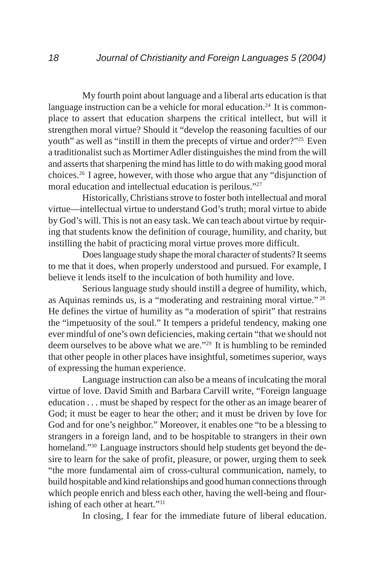My fourth point about language and a liberal arts education is that language instruction can be a vehicle for moral education.<sup>24</sup> It is commonplace to assert that education sharpens the critical intellect, but will it strengthen moral virtue? Should it "develop the reasoning faculties of our youth" as well as "instill in them the precepts of virtue and order?"25 Even a traditionalist such as Mortimer Adler distinguishes the mind from the will and asserts that sharpening the mind has little to do with making good moral choices.26 I agree, however, with those who argue that any "disjunction of moral education and intellectual education is perilous."27

Historically, Christians strove to foster both intellectual and moral virtue—intellectual virtue to understand God's truth; moral virtue to abide by God's will. This is not an easy task. We can teach about virtue by requiring that students know the definition of courage, humility, and charity, but instilling the habit of practicing moral virtue proves more difficult.

Does language study shape the moral character of students? It seems to me that it does, when properly understood and pursued. For example, I believe it lends itself to the inculcation of both humility and love.

Serious language study should instill a degree of humility, which, as Aquinas reminds us, is a "moderating and restraining moral virtue." 28 He defines the virtue of humility as "a moderation of spirit" that restrains the "impetuosity of the soul." It tempers a prideful tendency, making one ever mindful of one's own deficiencies, making certain "that we should not deem ourselves to be above what we are."29 It is humbling to be reminded that other people in other places have insightful, sometimes superior, ways of expressing the human experience.

Language instruction can also be a means of inculcating the moral virtue of love. David Smith and Barbara Carvill write, "Foreign language education . . . must be shaped by respect for the other as an image bearer of God; it must be eager to hear the other; and it must be driven by love for God and for one's neighbor." Moreover, it enables one "to be a blessing to strangers in a foreign land, and to be hospitable to strangers in their own homeland."30 Language instructors should help students get beyond the desire to learn for the sake of profit, pleasure, or power, urging them to seek "the more fundamental aim of cross-cultural communication, namely, to build hospitable and kind relationships and good human connections through which people enrich and bless each other, having the well-being and flourishing of each other at heart."31

In closing, I fear for the immediate future of liberal education.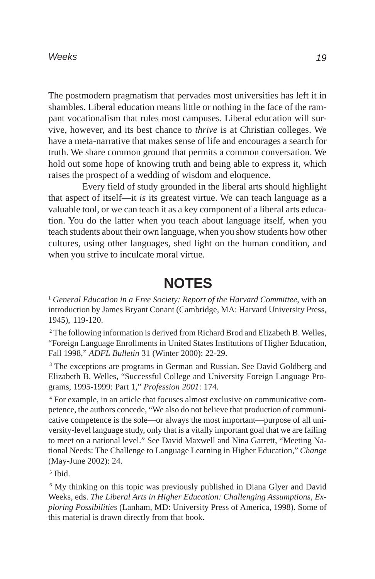#### *Weeks*

The postmodern pragmatism that pervades most universities has left it in shambles. Liberal education means little or nothing in the face of the rampant vocationalism that rules most campuses. Liberal education will survive, however, and its best chance to *thrive* is at Christian colleges. We have a meta-narrative that makes sense of life and encourages a search for truth. We share common ground that permits a common conversation. We hold out some hope of knowing truth and being able to express it, which raises the prospect of a wedding of wisdom and eloquence.

Every field of study grounded in the liberal arts should highlight that aspect of itself—it *is* its greatest virtue. We can teach language as a valuable tool, or we can teach it as a key component of a liberal arts education. You do the latter when you teach about language itself, when you teach students about their own language, when you show students how other cultures, using other languages, shed light on the human condition, and when you strive to inculcate moral virtue.

## **NOTES**

<sup>1</sup> *General Education in a Free Society: Report of the Harvard Committee*, with an introduction by James Bryant Conant (Cambridge, MA: Harvard University Press, 1945), 119-120.

<sup>2</sup> The following information is derived from Richard Brod and Elizabeth B. Welles, "Foreign Language Enrollments in United States Institutions of Higher Education, Fall 1998," *ADFL Bulletin* 31 (Winter 2000): 22-29.

<sup>3</sup> The exceptions are programs in German and Russian. See David Goldberg and Elizabeth B. Welles, "Successful College and University Foreign Language Programs, 1995-1999: Part 1," *Profession 2001*: 174.

4 For example, in an article that focuses almost exclusive on communicative competence, the authors concede, "We also do not believe that production of communicative competence is the sole—or always the most important—purpose of all university-level language study, only that is a vitally important goal that we are failing to meet on a national level." See David Maxwell and Nina Garrett, "Meeting National Needs: The Challenge to Language Learning in Higher Education," *Change* (May-June 2002): 24.

5 Ibid.

<sup>6</sup> My thinking on this topic was previously published in Diana Glyer and David Weeks, eds. *The Liberal Arts in Higher Education: Challenging Assumptions, Exploring Possibilities* (Lanham, MD: University Press of America, 1998). Some of this material is drawn directly from that book.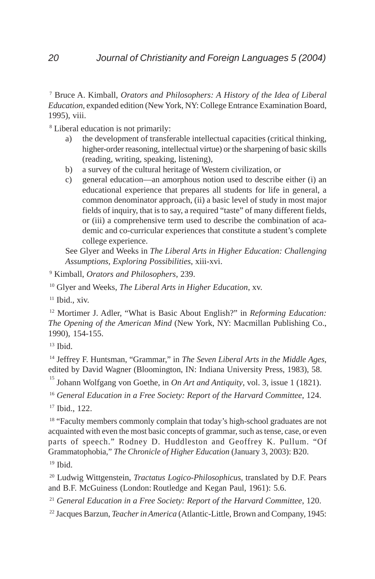7 Bruce A. Kimball, *Orators and Philosophers: A History of the Idea of Liberal Education,* expanded edition (New York, NY: College Entrance Examination Board, 1995), viii.

8 Liberal education is not primarily:

- a) the development of transferable intellectual capacities (critical thinking, higher-order reasoning, intellectual virtue) or the sharpening of basic skills (reading, writing, speaking, listening),
- b) a survey of the cultural heritage of Western civilization, or
- c) general education—an amorphous notion used to describe either (i) an educational experience that prepares all students for life in general, a common denominator approach, (ii) a basic level of study in most major fields of inquiry, that is to say, a required "taste" of many different fields, or (iii) a comprehensive term used to describe the combination of academic and co-curricular experiences that constitute a student's complete college experience.

See Glyer and Weeks in *The Liberal Arts in Higher Education: Challenging Assumptions, Exploring Possibilities*, xiii-xvi.

9 Kimball, *Orators and Philosophers*, 239.

10 Glyer and Weeks, *The Liberal Arts in Higher Education*, xv.

 $11$  Ibid., xiv.

12 Mortimer J. Adler, "What is Basic About English?" in *Reforming Education: The Opening of the American Mind* (New York, NY: Macmillan Publishing Co., 1990), 154-155.

 $13$  Ibid.

<sup>14</sup> Jeffrey F. Huntsman, "Grammar," in *The Seven Liberal Arts in the Middle Ages*, edited by David Wagner (Bloomington, IN: Indiana University Press, 1983), 58.

15 Johann Wolfgang von Goethe, in *On Art and Antiquity*, vol. 3, issue 1 (1821).

<sup>16</sup> *General Education in a Free Society: Report of the Harvard Committee*, 124. 17 Ibid., 122.

<sup>18</sup> "Faculty members commonly complain that today's high-school graduates are not acquainted with even the most basic concepts of grammar, such as tense, case, or even parts of speech." Rodney D. Huddleston and Geoffrey K. Pullum. "Of Grammatophobia," *The Chronicle of Higher Education* (January 3, 2003): B20. 19 Ibid.

20 Ludwig Wittgenstein, *Tractatus Logico-Philosophicus,* translated by D.F. Pears and B.F. McGuiness (London: Routledge and Kegan Paul, 1961): 5.6.

<sup>21</sup> *General Education in a Free Society: Report of the Harvard Committee*, 120.

22 Jacques Barzun, *Teacher in America* (Atlantic-Little, Brown and Company, 1945: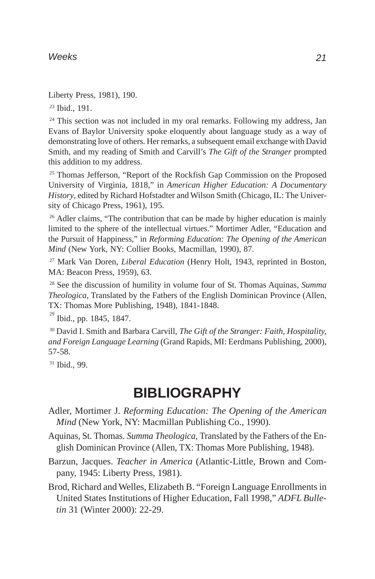### *Weeks*

Liberty Press, 1981), 190.

23 Ibid., 191.

<sup>24</sup> This section was not included in my oral remarks. Following my address, Jan Evans of Baylor University spoke eloquently about language study as a way of demonstrating love of others. Her remarks, a subsequent email exchange with David Smith, and my reading of Smith and Carvill's *The Gift of the Stranger* prompted this addition to my address.

<sup>25</sup> Thomas Jefferson, "Report of the Rockfish Gap Commission on the Proposed University of Virginia, 1818," in *American Higher Education: A Documentary History*, edited by Richard Hofstadter and Wilson Smith (Chicago, IL: The University of Chicago Press, 1961), 195.

<sup>26</sup> Adler claims, "The contribution that can be made by higher education is mainly limited to the sphere of the intellectual virtues." Mortimer Adler, "Education and the Pursuit of Happiness," in *Reforming Education: The Opening of the American Mind* (New York, NY: Collier Books, Macmillan, 1990), 87.

27 Mark Van Doren, *Liberal Education* (Henry Holt, 1943, reprinted in Boston, MA: Beacon Press, 1959), 63.

28 See the discussion of humility in volume four of St. Thomas Aquinas, *Summa Theologica*, Translated by the Fathers of the English Dominican Province (Allen, TX: Thomas More Publishing, 1948), 1841-1848.

<sup>29</sup> Ibid., pp. 1845, 1847.

30 David I. Smith and Barbara Carvill, *The Gift of the Stranger: Faith, Hospitality, and Foreign Language Learning* (Grand Rapids, MI: Eerdmans Publishing, 2000), 57-58.

31 Ibid., 99.

# **BIBLIOGRAPHY**

- Adler, Mortimer J. *Reforming Education: The Opening of the American Mind* (New York, NY: Macmillan Publishing Co., 1990).
- Aquinas, St. Thomas. *Summa Theologica*, Translated by the Fathers of the English Dominican Province (Allen, TX: Thomas More Publishing, 1948).
- Barzun, Jacques. *Teacher in America* (Atlantic-Little, Brown and Company, 1945: Liberty Press, 1981).
- Brod, Richard and Welles, Elizabeth B. "Foreign Language Enrollments in United States Institutions of Higher Education, Fall 1998," *ADFL Bulletin* 31 (Winter 2000): 22-29.